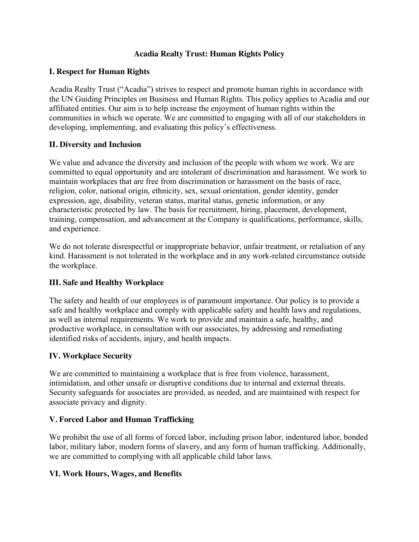## **Acadia Realty Trust: Human Rights Policy**

#### **I. Respect for Human Rights**

Acadia Realty Trust ("Acadia") strives to respect and promote human rights in accordance with the UN Guiding Principles on Business and Human Rights. This policy applies to Acadia and our affiliated entities. Our aim is to help increase the enjoyment of human rights within the communities in which we operate. We are committed to engaging with all of our stakeholders in developing, implementing, and evaluating this policy's effectiveness.

## **II. Diversity and Inclusion**

We value and advance the diversity and inclusion of the people with whom we work. We are committed to equal opportunity and are intolerant of discrimination and harassment. We work to maintain workplaces that are free from discrimination or harassment on the basis of race, religion, color, national origin, ethnicity, sex, sexual orientation, gender identity, gender expression, age, disability, veteran status, marital status, genetic information, or any characteristic protected by law. The basis for recruitment, hiring, placement, development, training, compensation, and advancement at the Company is qualifications, performance, skills, and experience.

We do not tolerate disrespectful or inappropriate behavior, unfair treatment, or retaliation of any kind. Harassment is not tolerated in the workplace and in any work-related circumstance outside the workplace.

## **III. Safe and Healthy Workplace**

The safety and health of our employees is of paramount importance. Our policy is to provide a safe and healthy workplace and comply with applicable safety and health laws and regulations, as well as internal requirements. We work to provide and maintain a safe, healthy, and productive workplace, in consultation with our associates, by addressing and remediating identified risks of accidents, injury, and health impacts.

## **IV. Workplace Security**

We are committed to maintaining a workplace that is free from violence, harassment, intimidation, and other unsafe or disruptive conditions due to internal and external threats. Security safeguards for associates are provided, as needed, and are maintained with respect for associate privacy and dignity.

#### **V. Forced Labor and Human Trafficking**

We prohibit the use of all forms of forced labor, including prison labor, indentured labor, bonded labor, military labor, modern forms of slavery, and any form of human trafficking. Additionally, we are committed to complying with all applicable child labor laws.

#### **VI. Work Hours, Wages, and Benefits**